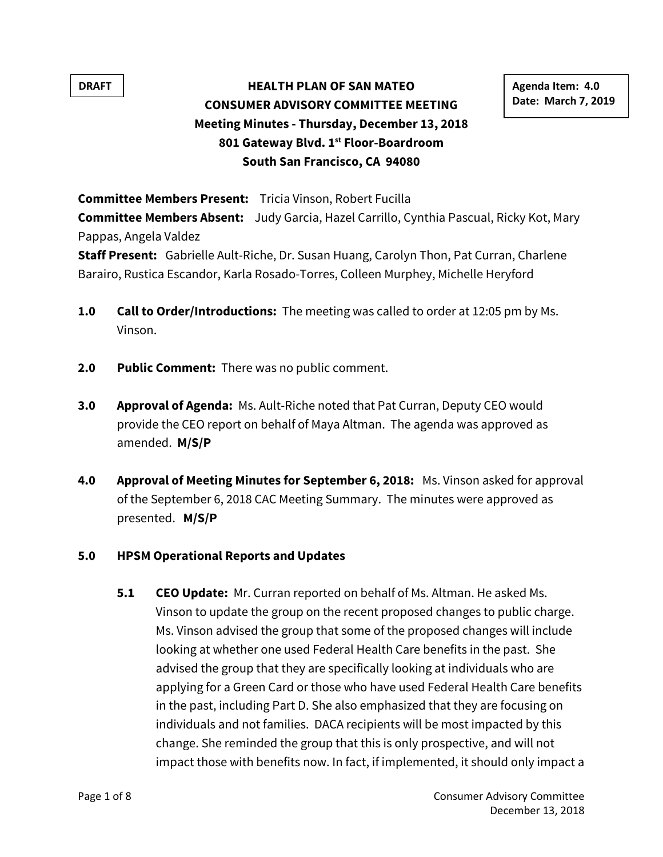# **DRAFT** | **HEALTH PLAN OF SAN MATEO** | Agenda Item: 4.0 **CONSUMER ADVISORY COMMITTEE MEETING Meeting Minutes - Thursday, December 13, 2018 801 Gateway Blvd. 1st Floor-Boardroom South San Francisco, CA 94080**

**Date: March 7, 2019**

**Committee Members Present:** Tricia Vinson, Robert Fucilla

**Committee Members Absent:** Judy Garcia, Hazel Carrillo, Cynthia Pascual, Ricky Kot, Mary Pappas, Angela Valdez

**Staff Present:** Gabrielle Ault-Riche, Dr. Susan Huang, Carolyn Thon, Pat Curran, Charlene Barairo, Rustica Escandor, Karla Rosado-Torres, Colleen Murphey, Michelle Heryford

- **1.0 Call to Order/Introductions:** The meeting was called to order at 12:05 pm by Ms. Vinson.
- **2.0 Public Comment:** There was no public comment.
- **3.0 Approval of Agenda:** Ms. Ault-Riche noted that Pat Curran, Deputy CEO would provide the CEO report on behalf of Maya Altman. The agenda was approved as amended. **M/S/P**
- **4.0 Approval of Meeting Minutes for September 6, 2018:** Ms. Vinson asked for approval of the September 6, 2018 CAC Meeting Summary. The minutes were approved as presented. **M/S/P**

### **5.0 HPSM Operational Reports and Updates**

**5.1 CEO Update:** Mr. Curran reported on behalf of Ms. Altman. He asked Ms. Vinson to update the group on the recent proposed changes to public charge. Ms. Vinson advised the group that some of the proposed changes will include looking at whether one used Federal Health Care benefits in the past. She advised the group that they are specifically looking at individuals who are applying for a Green Card or those who have used Federal Health Care benefits in the past, including Part D. She also emphasized that they are focusing on individuals and not families. DACA recipients will be most impacted by this change. She reminded the group that this is only prospective, and will not impact those with benefits now. In fact, if implemented, it should only impact a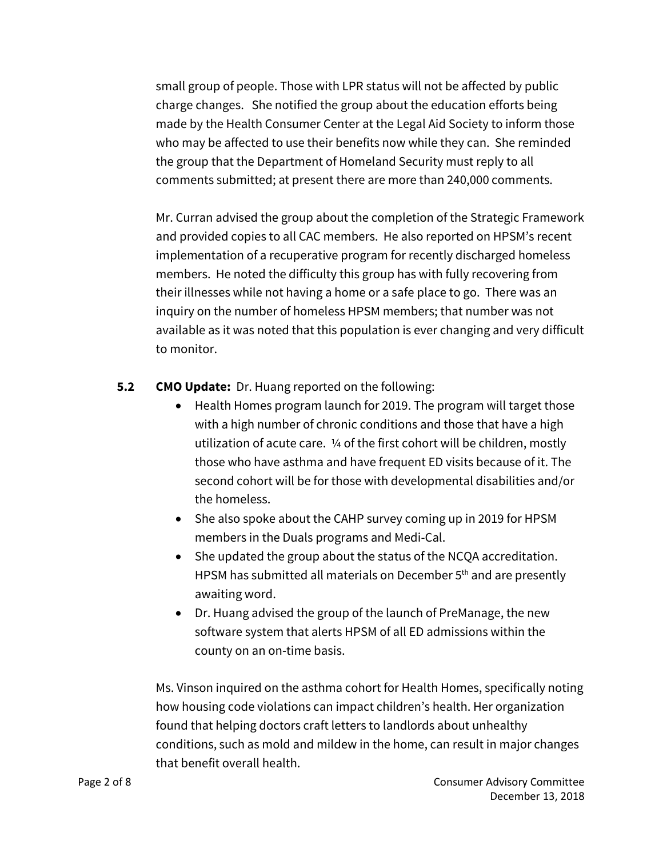small group of people. Those with LPR status will not be affected by public charge changes. She notified the group about the education efforts being made by the Health Consumer Center at the Legal Aid Society to inform those who may be affected to use their benefits now while they can. She reminded the group that the Department of Homeland Security must reply to all comments submitted; at present there are more than 240,000 comments.

Mr. Curran advised the group about the completion of the Strategic Framework and provided copies to all CAC members. He also reported on HPSM's recent implementation of a recuperative program for recently discharged homeless members. He noted the difficulty this group has with fully recovering from their illnesses while not having a home or a safe place to go. There was an inquiry on the number of homeless HPSM members; that number was not available as it was noted that this population is ever changing and very difficult to monitor.

# **5.2 CMO Update:** Dr. Huang reported on the following:

- Health Homes program launch for 2019. The program will target those with a high number of chronic conditions and those that have a high utilization of acute care. ¼ of the first cohort will be children, mostly those who have asthma and have frequent ED visits because of it. The second cohort will be for those with developmental disabilities and/or the homeless.
- She also spoke about the CAHP survey coming up in 2019 for HPSM members in the Duals programs and Medi-Cal.
- She updated the group about the status of the NCQA accreditation. HPSM has submitted all materials on December 5<sup>th</sup> and are presently awaiting word.
- Dr. Huang advised the group of the launch of PreManage, the new software system that alerts HPSM of all ED admissions within the county on an on-time basis.

Ms. Vinson inquired on the asthma cohort for Health Homes, specifically noting how housing code violations can impact children's health. Her organization found that helping doctors craft letters to landlords about unhealthy conditions, such as mold and mildew in the home, can result in major changes that benefit overall health.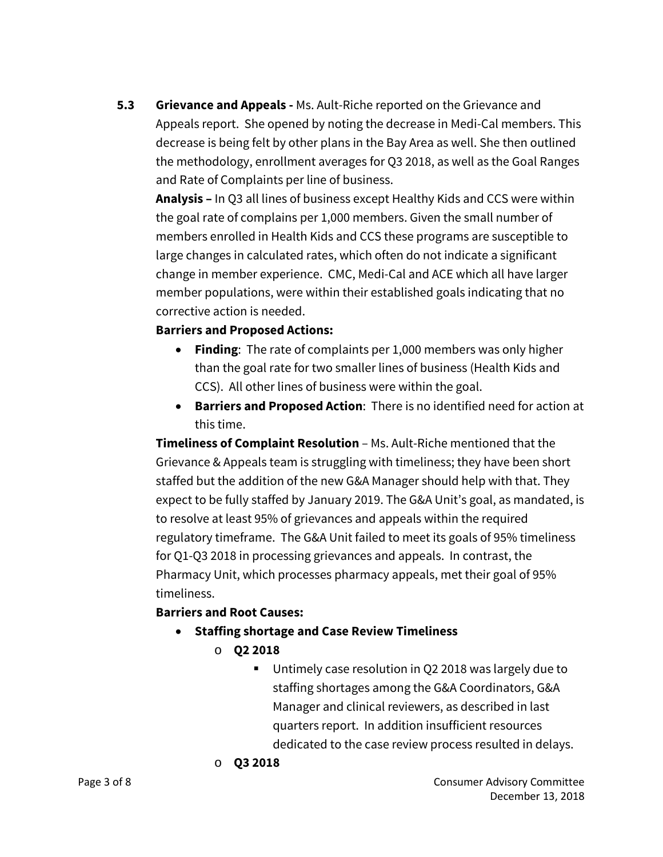**5.3 Grievance and Appeals -** Ms. Ault-Riche reported on the Grievance and Appeals report. She opened by noting the decrease in Medi-Cal members. This decrease is being felt by other plans in the Bay Area as well. She then outlined the methodology, enrollment averages for Q3 2018, as well as the Goal Ranges and Rate of Complaints per line of business.

**Analysis –** In Q3 all lines of business except Healthy Kids and CCS were within the goal rate of complains per 1,000 members. Given the small number of members enrolled in Health Kids and CCS these programs are susceptible to large changes in calculated rates, which often do not indicate a significant change in member experience. CMC, Medi-Cal and ACE which all have larger member populations, were within their established goals indicating that no corrective action is needed.

# **Barriers and Proposed Actions:**

- **Finding**: The rate of complaints per 1,000 members was only higher than the goal rate for two smaller lines of business (Health Kids and CCS). All other lines of business were within the goal.
- **Barriers and Proposed Action**: There is no identified need for action at this time.

**Timeliness of Complaint Resolution** – Ms. Ault-Riche mentioned that the Grievance & Appeals team is struggling with timeliness; they have been short staffed but the addition of the new G&A Manager should help with that. They expect to be fully staffed by January 2019. The G&A Unit's goal, as mandated, is to resolve at least 95% of grievances and appeals within the required regulatory timeframe. The G&A Unit failed to meet its goals of 95% timeliness for Q1-Q3 2018 in processing grievances and appeals. In contrast, the Pharmacy Unit, which processes pharmacy appeals, met their goal of 95% timeliness.

# **Barriers and Root Causes:**

- **Staffing shortage and Case Review Timeliness**
	- o **Q2 2018**
		- Untimely case resolution in Q2 2018 was largely due to staffing shortages among the G&A Coordinators, G&A Manager and clinical reviewers, as described in last quarters report. In addition insufficient resources dedicated to the case review process resulted in delays.

#### o **Q3 2018**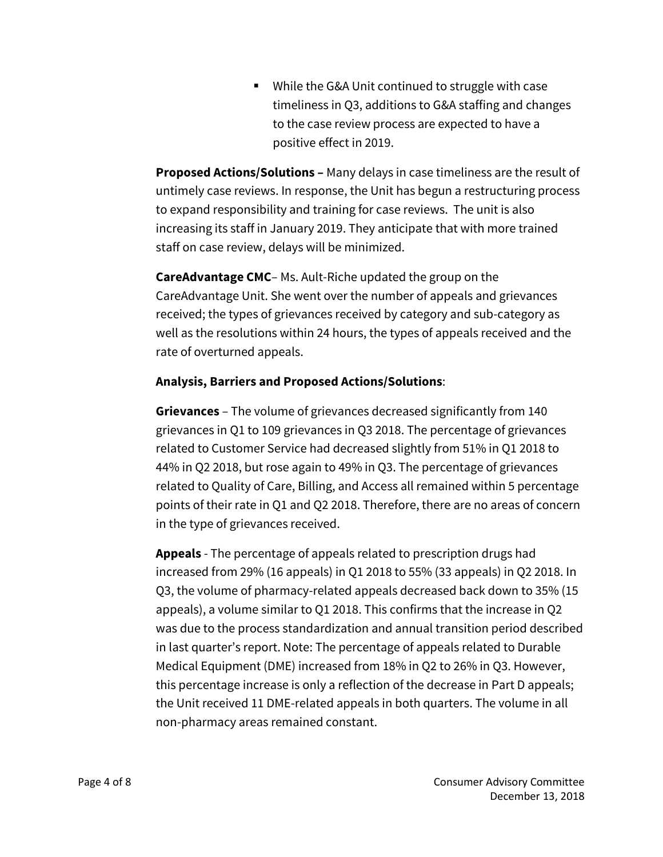■ While the G&A Unit continued to struggle with case timeliness in Q3, additions to G&A staffing and changes to the case review process are expected to have a positive effect in 2019.

**Proposed Actions/Solutions –** Many delays in case timeliness are the result of untimely case reviews. In response, the Unit has begun a restructuring process to expand responsibility and training for case reviews. The unit is also increasing its staff in January 2019. They anticipate that with more trained staff on case review, delays will be minimized.

**CareAdvantage CMC**– Ms. Ault-Riche updated the group on the CareAdvantage Unit. She went over the number of appeals and grievances received; the types of grievances received by category and sub-category as well as the resolutions within 24 hours, the types of appeals received and the rate of overturned appeals.

# **Analysis, Barriers and Proposed Actions/Solutions**:

**Grievances** – The volume of grievances decreased significantly from 140 grievances in Q1 to 109 grievances in Q3 2018. The percentage of grievances related to Customer Service had decreased slightly from 51% in Q1 2018 to 44% in Q2 2018, but rose again to 49% in Q3. The percentage of grievances related to Quality of Care, Billing, and Access all remained within 5 percentage points of their rate in Q1 and Q2 2018. Therefore, there are no areas of concern in the type of grievances received.

**Appeals** - The percentage of appeals related to prescription drugs had increased from 29% (16 appeals) in Q1 2018 to 55% (33 appeals) in Q2 2018. In Q3, the volume of pharmacy-related appeals decreased back down to 35% (15 appeals), a volume similar to Q1 2018. This confirms that the increase in Q2 was due to the process standardization and annual transition period described in last quarter's report. Note: The percentage of appeals related to Durable Medical Equipment (DME) increased from 18% in Q2 to 26% in Q3. However, this percentage increase is only a reflection of the decrease in Part D appeals; the Unit received 11 DME-related appeals in both quarters. The volume in all non-pharmacy areas remained constant.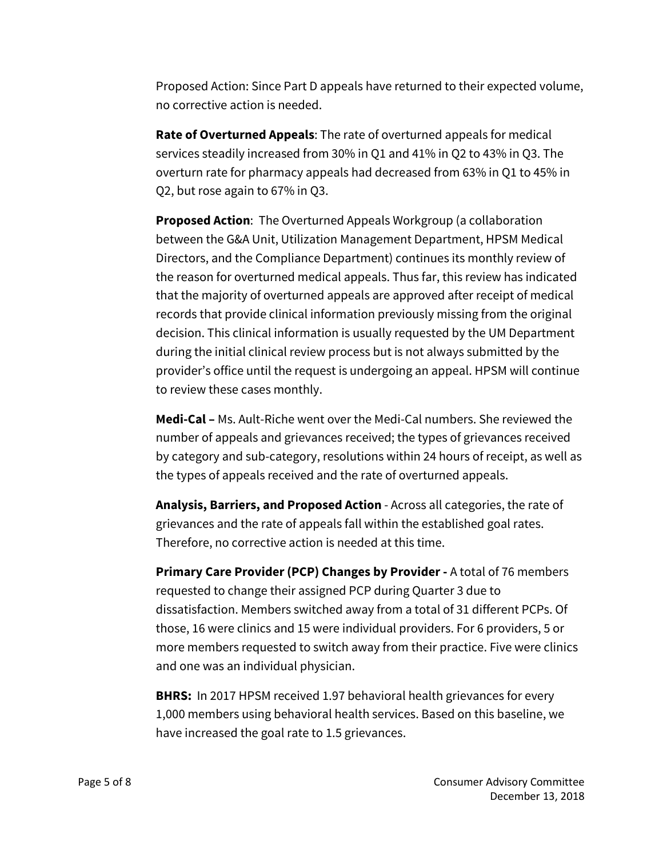Proposed Action: Since Part D appeals have returned to their expected volume, no corrective action is needed.

**Rate of Overturned Appeals**: The rate of overturned appeals for medical services steadily increased from 30% in Q1 and 41% in Q2 to 43% in Q3. The overturn rate for pharmacy appeals had decreased from 63% in Q1 to 45% in Q2, but rose again to 67% in Q3.

**Proposed Action**: The Overturned Appeals Workgroup (a collaboration between the G&A Unit, Utilization Management Department, HPSM Medical Directors, and the Compliance Department) continues its monthly review of the reason for overturned medical appeals. Thus far, this review has indicated that the majority of overturned appeals are approved after receipt of medical records that provide clinical information previously missing from the original decision. This clinical information is usually requested by the UM Department during the initial clinical review process but is not always submitted by the provider's office until the request is undergoing an appeal. HPSM will continue to review these cases monthly.

**Medi-Cal –** Ms. Ault-Riche went over the Medi-Cal numbers. She reviewed the number of appeals and grievances received; the types of grievances received by category and sub-category, resolutions within 24 hours of receipt, as well as the types of appeals received and the rate of overturned appeals.

**Analysis, Barriers, and Proposed Action** - Across all categories, the rate of grievances and the rate of appeals fall within the established goal rates. Therefore, no corrective action is needed at this time.

**Primary Care Provider (PCP) Changes by Provider -** A total of 76 members requested to change their assigned PCP during Quarter 3 due to dissatisfaction. Members switched away from a total of 31 different PCPs. Of those, 16 were clinics and 15 were individual providers. For 6 providers, 5 or more members requested to switch away from their practice. Five were clinics and one was an individual physician.

**BHRS:** In 2017 HPSM received 1.97 behavioral health grievances for every 1,000 members using behavioral health services. Based on this baseline, we have increased the goal rate to 1.5 grievances.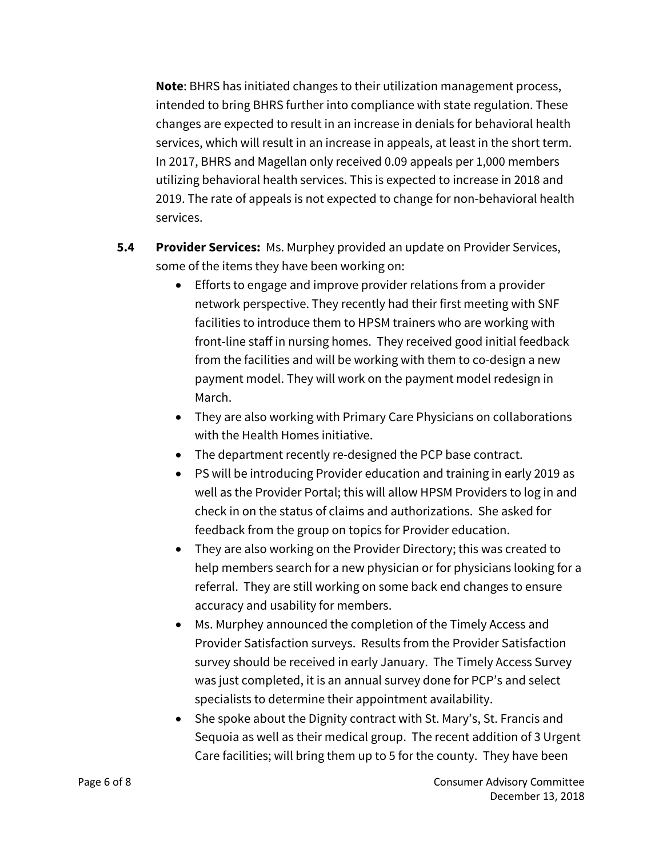**Note**: BHRS has initiated changes to their utilization management process, intended to bring BHRS further into compliance with state regulation. These changes are expected to result in an increase in denials for behavioral health services, which will result in an increase in appeals, at least in the short term. In 2017, BHRS and Magellan only received 0.09 appeals per 1,000 members utilizing behavioral health services. This is expected to increase in 2018 and 2019. The rate of appeals is not expected to change for non-behavioral health services.

- **5.4 Provider Services:** Ms. Murphey provided an update on Provider Services, some of the items they have been working on:
	- Efforts to engage and improve provider relations from a provider network perspective. They recently had their first meeting with SNF facilities to introduce them to HPSM trainers who are working with front-line staff in nursing homes. They received good initial feedback from the facilities and will be working with them to co-design a new payment model. They will work on the payment model redesign in March.
	- They are also working with Primary Care Physicians on collaborations with the Health Homes initiative.
	- The department recently re-designed the PCP base contract.
	- PS will be introducing Provider education and training in early 2019 as well as the Provider Portal; this will allow HPSM Providers to log in and check in on the status of claims and authorizations. She asked for feedback from the group on topics for Provider education.
	- They are also working on the Provider Directory; this was created to help members search for a new physician or for physicians looking for a referral. They are still working on some back end changes to ensure accuracy and usability for members.
	- Ms. Murphey announced the completion of the Timely Access and Provider Satisfaction surveys. Results from the Provider Satisfaction survey should be received in early January. The Timely Access Survey was just completed, it is an annual survey done for PCP's and select specialists to determine their appointment availability.
	- She spoke about the Dignity contract with St. Mary's, St. Francis and Sequoia as well as their medical group. The recent addition of 3 Urgent Care facilities; will bring them up to 5 for the county. They have been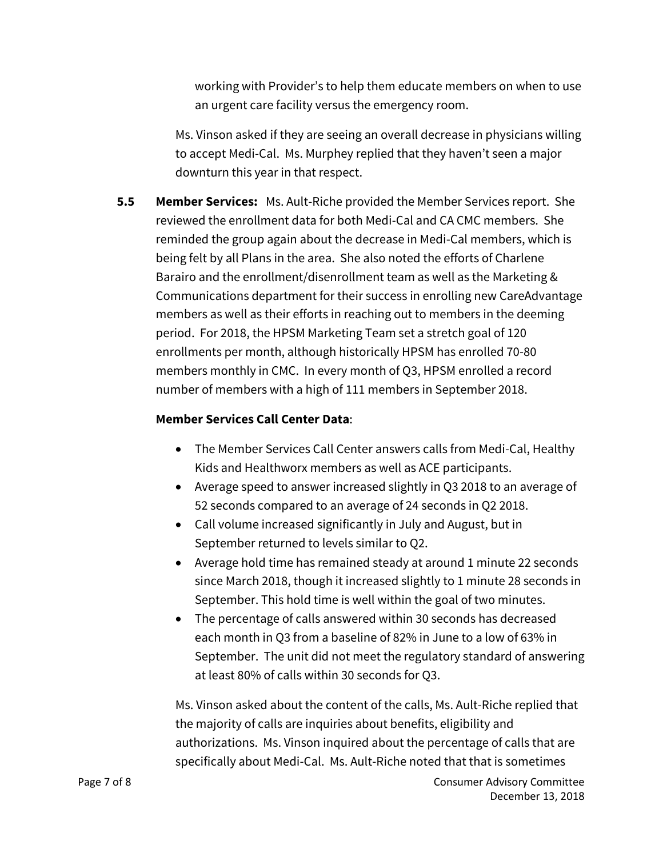working with Provider's to help them educate members on when to use an urgent care facility versus the emergency room.

Ms. Vinson asked if they are seeing an overall decrease in physicians willing to accept Medi-Cal. Ms. Murphey replied that they haven't seen a major downturn this year in that respect.

**5.5 Member Services:** Ms. Ault-Riche provided the Member Services report. She reviewed the enrollment data for both Medi-Cal and CA CMC members. She reminded the group again about the decrease in Medi-Cal members, which is being felt by all Plans in the area. She also noted the efforts of Charlene Barairo and the enrollment/disenrollment team as well as the Marketing & Communications department for their success in enrolling new CareAdvantage members as well as their efforts in reaching out to members in the deeming period. For 2018, the HPSM Marketing Team set a stretch goal of 120 enrollments per month, although historically HPSM has enrolled 70-80 members monthly in CMC. In every month of Q3, HPSM enrolled a record number of members with a high of 111 members in September 2018.

# **Member Services Call Center Data**:

- The Member Services Call Center answers calls from Medi-Cal, Healthy Kids and Healthworx members as well as ACE participants.
- Average speed to answer increased slightly in Q3 2018 to an average of 52 seconds compared to an average of 24 seconds in Q2 2018.
- Call volume increased significantly in July and August, but in September returned to levels similar to Q2.
- Average hold time has remained steady at around 1 minute 22 seconds since March 2018, though it increased slightly to 1 minute 28 seconds in September. This hold time is well within the goal of two minutes.
- The percentage of calls answered within 30 seconds has decreased each month in Q3 from a baseline of 82% in June to a low of 63% in September. The unit did not meet the regulatory standard of answering at least 80% of calls within 30 seconds for Q3.

Ms. Vinson asked about the content of the calls, Ms. Ault-Riche replied that the majority of calls are inquiries about benefits, eligibility and authorizations. Ms. Vinson inquired about the percentage of calls that are specifically about Medi-Cal. Ms. Ault-Riche noted that that is sometimes